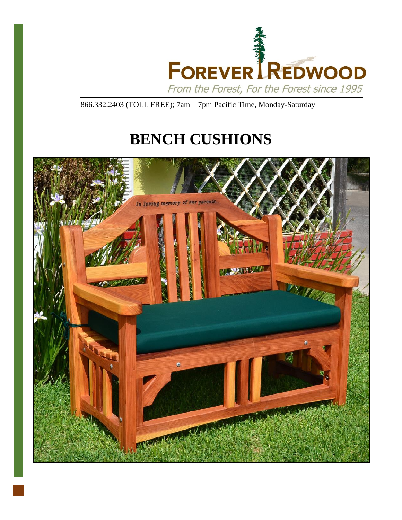

866.332.2403 (TOLL FREE); 7am – 7pm Pacific Time, Monday-Saturday

# **BENCH CUSHIONS**

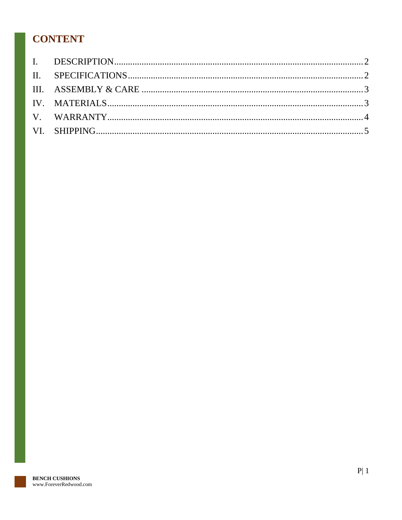## **CONTENT**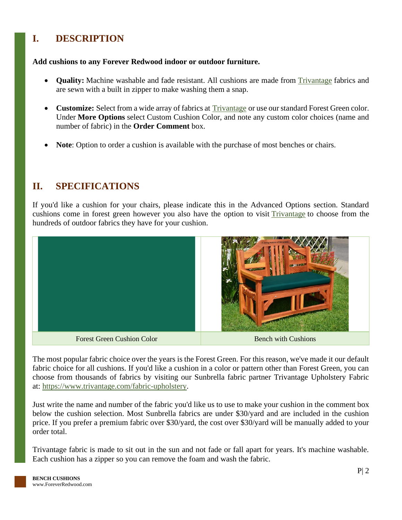## <span id="page-2-0"></span>**I. DESCRIPTION**

#### **Add cushions to any Forever Redwood indoor or outdoor furniture.**

- **Quality:** Machine washable and fade resistant. All cushions are made from [Trivantage](https://www.trivantage.com/) fabrics and are sewn with a built in zipper to make washing them a snap.
- **Customize:** Select from a wide array of fabrics at **[Trivantage](https://www.trivantage.com/)** or use our standard Forest Green color. Under **More Options** select Custom Cushion Color, and note any custom color choices (name and number of fabric) in the **Order Comment** box.
- Note: Option to order a cushion is available with the purchase of most benches or chairs.

#### <span id="page-2-1"></span>**II. SPECIFICATIONS**

If you'd like a cushion for your chairs, please indicate this in the Advanced Options section. Standard cushions come in forest green however you also have the option to visit [Trivantage](https://www.trivantage.com/fabric-upholstery) to choose from the hundreds of outdoor fabrics they have for your cushion.



The most popular fabric choice over the years is the Forest Green. For this reason, we've made it our default fabric choice for all cushions. If you'd like a cushion in a color or pattern other than Forest Green, you can choose from thousands of fabrics by visiting our Sunbrella fabric partner Trivantage Upholstery Fabric at: [https://www.trivantage.com/fabric-upholstery.](https://www.trivantage.com/fabric-upholstery)

Just write the name and number of the fabric you'd like us to use to make your cushion in the comment box below the cushion selection. Most Sunbrella fabrics are under \$30/yard and are included in the cushion price. If you prefer a premium fabric over \$30/yard, the cost over \$30/yard will be manually added to your order total.

Trivantage fabric is made to sit out in the sun and not fade or fall apart for years. It's machine washable. Each cushion has a zipper so you can remove the foam and wash the fabric.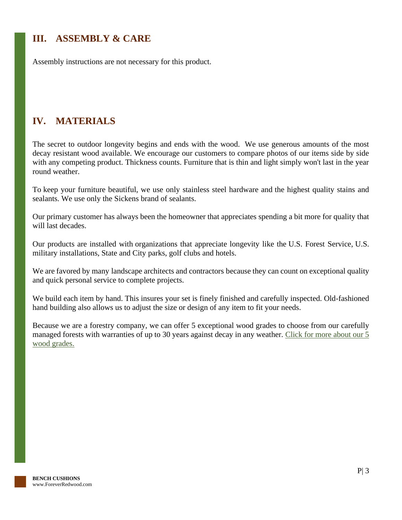## <span id="page-3-0"></span>**III. ASSEMBLY & CARE**

Assembly instructions are not necessary for this product.

## <span id="page-3-1"></span>**IV. MATERIALS**

The secret to outdoor longevity begins and ends with the wood. We use generous amounts of the most decay resistant wood available. We encourage our customers to compare photos of our items side by side with any competing product. Thickness counts. Furniture that is thin and light simply won't last in the year round weather.

To keep your furniture beautiful, we use only stainless steel hardware and the highest quality stains and sealants. We use only the Sickens brand of sealants.

Our primary customer has always been the homeowner that appreciates spending a bit more for quality that will last decades.

Our products are installed with organizations that appreciate longevity like the U.S. Forest Service, U.S. military installations, State and City parks, golf clubs and hotels.

We are favored by many landscape architects and contractors because they can count on exceptional quality and quick personal service to complete projects.

We build each item by hand. This insures your set is finely finished and carefully inspected. Old-fashioned hand building also allows us to adjust the size or design of any item to fit your needs.

Because we are a forestry company, we can offer 5 exceptional wood grades to choose from our carefully managed forests with warranties of up to 30 years against decay in any weather. Click for more about our 5 [wood grades.](https://www.foreverredwood.com/redwood-furniture/wood-grade/)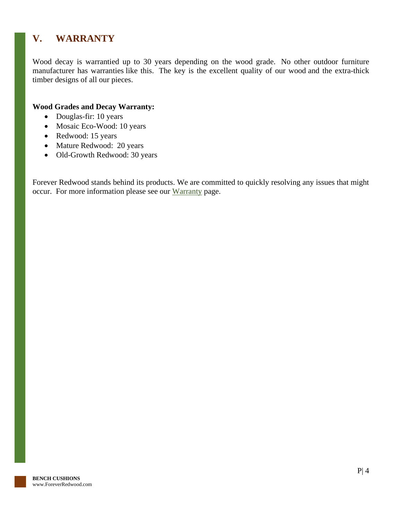## <span id="page-4-0"></span>**V. WARRANTY**

Wood decay is warrantied up to 30 years depending on the wood grade. No other outdoor furniture manufacturer has warranties like this. The key is the excellent quality of our wood and the extra-thick timber designs of all our pieces.

#### **Wood Grades and Decay Warranty:**

- Douglas-fir: 10 years
- Mosaic Eco-Wood: 10 years
- Redwood: 15 years
- Mature Redwood: 20 years
- Old-Growth Redwood: 30 years

Forever Redwood stands behind its products. We are committed to quickly resolving any issues that might occur. For more information please see our [Warranty](https://www.foreverredwood.com/redwood-furniture/warranty) page.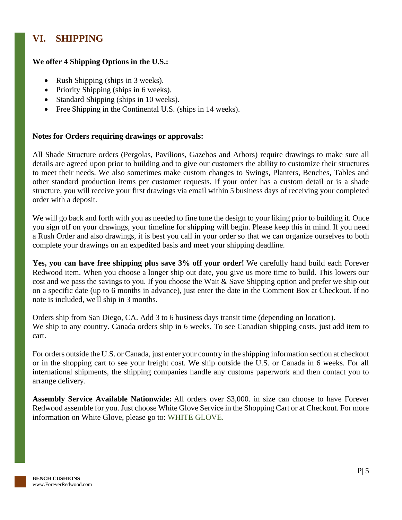## <span id="page-5-0"></span>**VI. SHIPPING**

#### **We offer 4 Shipping Options in the U.S.:**

- Rush Shipping (ships in 3 weeks).
- Priority Shipping (ships in 6 weeks).
- Standard Shipping (ships in 10 weeks).
- Free Shipping in the Continental U.S. (ships in 14 weeks).

#### **Notes for Orders requiring drawings or approvals:**

All Shade Structure orders (Pergolas, Pavilions, Gazebos and Arbors) require drawings to make sure all details are agreed upon prior to building and to give our customers the ability to customize their structures to meet their needs. We also sometimes make custom changes to Swings, Planters, Benches, Tables and other standard production items per customer requests. If your order has a custom detail or is a shade structure, you will receive your first drawings via email within 5 business days of receiving your completed order with a deposit.

We will go back and forth with you as needed to fine tune the design to your liking prior to building it. Once you sign off on your drawings, your timeline for shipping will begin. Please keep this in mind. If you need a Rush Order and also drawings, it is best you call in your order so that we can organize ourselves to both complete your drawings on an expedited basis and meet your shipping deadline.

**Yes, you can have free shipping plus save 3% off your order!** We carefully hand build each Forever Redwood item. When you choose a longer ship out date, you give us more time to build. This lowers our cost and we pass the savings to you. If you choose the Wait & Save Shipping option and prefer we ship out on a specific date (up to 6 months in advance), just enter the date in the Comment Box at Checkout. If no note is included, we'll ship in 3 months.

Orders ship from San Diego, CA. Add 3 to 6 business days transit time (depending on location). We ship to any country. Canada orders ship in 6 weeks. To see Canadian shipping costs, just add item to cart.

For orders outside the U.S. or Canada, just enter your country in the shipping information section at checkout or in the shopping cart to see your freight cost. We ship outside the U.S. or Canada in 6 weeks. For all international shipments, the shipping companies handle any customs paperwork and then contact you to arrange delivery.

**Assembly Service Available Nationwide:** All orders over \$3,000. in size can choose to have Forever Redwood assemble for you. Just choose White Glove Service in the Shopping Cart or at Checkout. For more information on White Glove, please go to: [WHITE GLOVE.](https://www.foreverredwood.com/white-glove/)